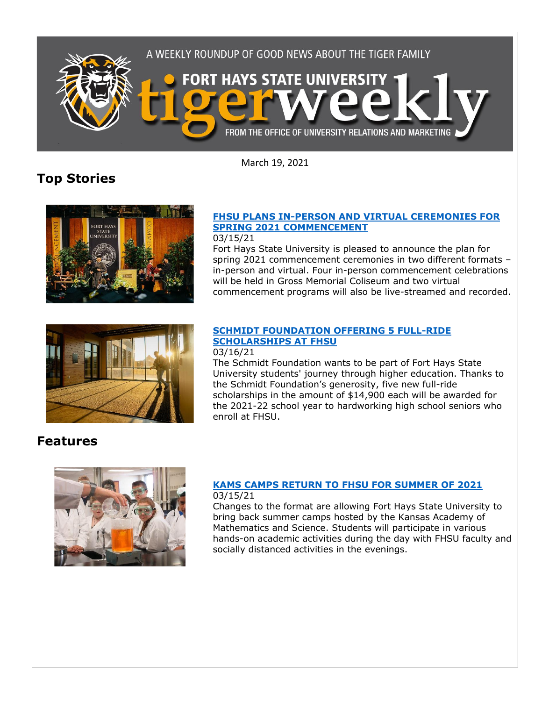

March 19, 2021

# **Top Stories**



## **[FHSU PLANS IN-PERSON AND VIRTUAL CEREMONIES FOR](https://www.fhsu.edu/news/2021/03/fhsu-plans-in-person-and-virtual-ceremonies-for-spring-2021-commencement)  [SPRING 2021 COMMENCEMENT](https://www.fhsu.edu/news/2021/03/fhsu-plans-in-person-and-virtual-ceremonies-for-spring-2021-commencement)**

03/15/21

Fort Hays State University is pleased to announce the plan for spring 2021 commencement ceremonies in two different formats – in-person and virtual. Four in-person commencement celebrations will be held in Gross Memorial Coliseum and two virtual commencement programs will also be live-streamed and recorded.



## **[SCHMIDT FOUNDATION OFFERING 5 FULL-RIDE](https://www.fhsu.edu/news/2021/03/schmidt-foundation-offering-5-full-ride-scholarships-at-fhsu)  [SCHOLARSHIPS AT FHSU](https://www.fhsu.edu/news/2021/03/schmidt-foundation-offering-5-full-ride-scholarships-at-fhsu)**

#### 03/16/21

The Schmidt Foundation wants to be part of Fort Hays State University students' journey through higher education. Thanks to the Schmidt Foundation's generosity, five new full-ride scholarships in the amount of \$14,900 each will be awarded for the 2021-22 school year to hardworking high school seniors who enroll at FHSU.

# **Features**



#### **[KAMS CAMPS RETURN TO FHSU FOR SUMMER OF 2021](https://www.fhsu.edu/news/2021/03/kams-camps-return-to-fhsu-for-summer-of-2021)** 03/15/21

Changes to the format are allowing Fort Hays State University to bring back summer camps hosted by the Kansas Academy of Mathematics and Science. Students will participate in various hands-on academic activities during the day with FHSU faculty and socially distanced activities in the evenings.